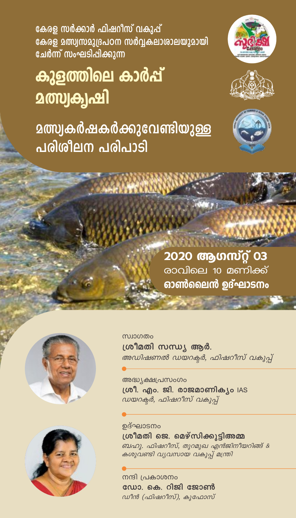കേരള സർക്കാർ ഫിഷറീസ് വകുപ്പ് കേരള മത്സ്വസമുദ്രപഠന സർവ്വകലാശാലയുമായി ചേർന്ന് സംഘടിപ്പിക്കുന്ന

## കുളത്തിലെ കാർപ്പ് **മത്സ്വക്വഷി**

**മത്സ്വകർഷകർക്കുവേണ്ടിയുള്ള** പരിശീലന പരിപാടി







2020 ആഗസ്റ്റ് 03 രാവിലെ 10 മണിക്ക് ഓൺലൈൻ ഉദ്ഘാടനം





സ്ഥാഗതം ശ്രീമതി സന്ധ്യ ആർ. അഡിഷണൽ ഡയറക്ടർ, ഫിഷറീസ് വകുപ്പ്

അദ്ധ്യക്ഷപ്രസംഗം ശ്രീ. എം. ജി. രാജമാണിക്യം IAS ഡയറക്രർ, ഫിഷറീസ് വകുപ്പ്

ഉദ്ഘാടനം ശ്രീമതി ജെ. മെഴ്സിക്കുടിഅമ്മ ബഹു. ഫിഷറീസ്, തുറമുഖ എൻജിനീയറിങ്ങ് & കശുവണ്ടി വ്യവസായ വകുപ്പ് മന്ത്രി

നന്ദി പ്രകാശനം ഡോ. കെ. റിജി ജോൺ ഡീൻ (ഫിഷറീസ്), കുഫോസ്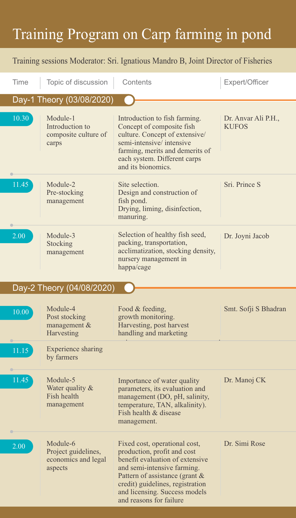## Training Program on Carp farming in pond

## Training sessions Moderator: Sri. Ignatious Mandro B, Joint Director of Fisheries

| Time                      | Topic of discussion                                               | Contents                                                                                                                                                                                                                                                         | Expert/Officer                      |
|---------------------------|-------------------------------------------------------------------|------------------------------------------------------------------------------------------------------------------------------------------------------------------------------------------------------------------------------------------------------------------|-------------------------------------|
| Day-1 Theory (03/08/2020) |                                                                   |                                                                                                                                                                                                                                                                  |                                     |
| 10.30                     | Module-1<br>Introduction to<br>composite culture of<br>carps      | Introduction to fish farming.<br>Concept of composite fish<br>culture. Concept of extensive/<br>semi-intensive/intensive<br>farming, merits and demerits of<br>each system. Different carps<br>and its bionomics.                                                | Dr. Anvar Ali P.H.,<br><b>KUFOS</b> |
| 11.45                     | Module-2<br>Pre-stocking<br>management                            | Site selection.<br>Design and construction of<br>fish pond.<br>Drying, liming, disinfection,<br>manuring.                                                                                                                                                        | Sri. Prince S                       |
| 2.00                      | Module-3<br>Stocking<br>management                                | Selection of healthy fish seed,<br>packing, transportation,<br>acclimatization, stocking density,<br>nursery management in<br>happa/cage                                                                                                                         | Dr. Joyni Jacob                     |
|                           | Day-2 Theory (04/08/2020)                                         |                                                                                                                                                                                                                                                                  |                                     |
| 10.00                     | Module-4<br>Post stocking<br>management &<br>Harvesting           | Food & feeding,<br>growth monitoring.<br>Harvesting, post harvest<br>handling and marketing                                                                                                                                                                      | Smt. Sofji S Bhadran                |
| 11.15                     | <b>Experience sharing</b><br>by farmers                           |                                                                                                                                                                                                                                                                  |                                     |
| 11.45                     | Module-5<br>Water quality &<br>Fish health<br>management          | Importance of water quality<br>parameters, its evaluation and<br>management (DO, pH, salinity,<br>temperature, TAN, alkalinity).<br>Fish health & disease<br>management.                                                                                         | Dr. Manoj CK                        |
| 2.00                      | Module-6<br>Project guidelines,<br>economics and legal<br>aspects | Fixed cost, operational cost,<br>production, profit and cost<br>benefit evaluation of extensive<br>and semi-intensive farming.<br>Pattern of assistance (grant &<br>credit) guidelines, registration<br>and licensing. Success models<br>and reasons for failure | Dr. Simi Rose                       |